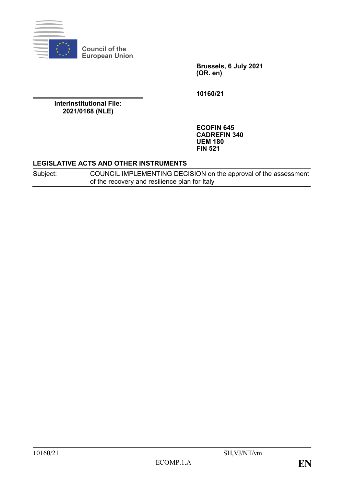

**Council of the European Union**

> **Brussels, 6 July 2021 (OR. en)**

**10160/21**

**Interinstitutional File: 2021/0168 (NLE)**

> **ECOFIN 645 CADREFIN 340 UEM 180 FIN 521**

## **LEGISLATIVE ACTS AND OTHER INSTRUMENTS**

Subject: COUNCIL IMPLEMENTING DECISION on the approval of the assessment of the recovery and resilience plan for Italy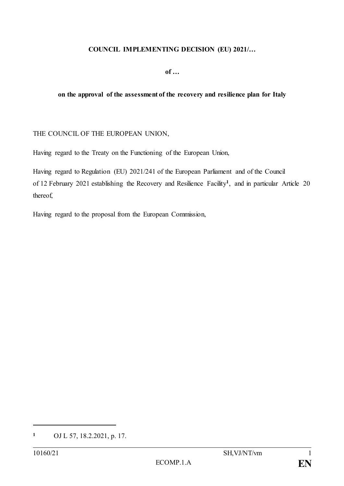## **COUNCIL IMPLEMENTING DECISION (EU) 2021/…**

**of …**

## **on the approval of the assessment of the recovery and resilience plan for Italy**

## THE COUNCIL OF THE EUROPEAN UNION,

Having regard to the Treaty on the Functioning of the European Union,

Having regard to Regulation (EU) 2021/241 of the European Parliament and of the Council of 12 February 2021 establishing the Recovery and Resilience Facility**<sup>1</sup>** , and in particular Article 20 thereof,

Having regard to the proposal from the European Commission,

**<sup>1</sup>** OJ L 57, 18.2.2021, p. 17.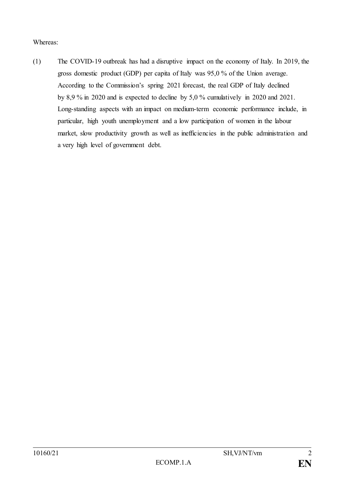Whereas:

(1) The COVID-19 outbreak has had a disruptive impact on the economy of Italy. In 2019, the gross domestic product (GDP) per capita of Italy was 95,0 % of the Union average. According to the Commission's spring 2021 forecast, the real GDP of Italy declined by 8,9 % in 2020 and is expected to decline by 5,0 % cumulatively in 2020 and 2021. Long-standing aspects with an impact on medium-term economic performance include, in particular, high youth unemployment and a low participation of women in the labour market, slow productivity growth as well as inefficiencies in the public administration and a very high level of government debt.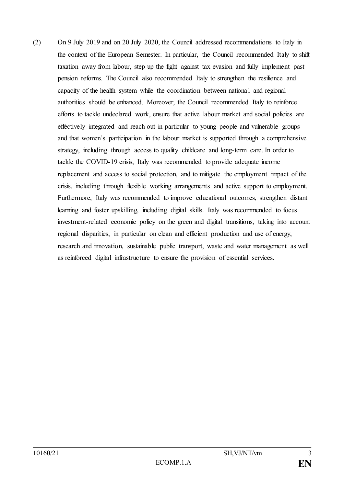(2) On 9 July 2019 and on 20 July 2020, the Council addressed recommendations to Italy in the context of the European Semester. In particular, the Council recommended Italy to shift taxation away from labour, step up the fight against tax evasion and fully implement past pension reforms. The Council also recommended Italy to strengthen the resilience and capacity of the health system while the coordination between nationa l and regional authorities should be enhanced. Moreover, the Council recommended Italy to reinforce efforts to tackle undeclared work, ensure that active labour market and social policies are effectively integrated and reach out in particular to young people and vulnerable groups and that women's participation in the labour market is supported through a comprehensive strategy, including through access to quality childcare and long-term care. In order to tackle the COVID-19 crisis, Italy was recommended to provide adequate income replacement and access to social protection, and to mitigate the employment impact of the crisis, including through flexible working arrangements and active support to employment. Furthermore, Italy was recommended to improve educational outcomes, strengthen distant learning and foster upskilling, including digital skills. Italy was recommended to focus investment-related economic policy on the green and digital transitions, taking into account regional disparities, in particular on clean and efficient production and use of energy, research and innovation, sustainable public transport, waste and water management as well as reinforced digital infrastructure to ensure the provision of essential services.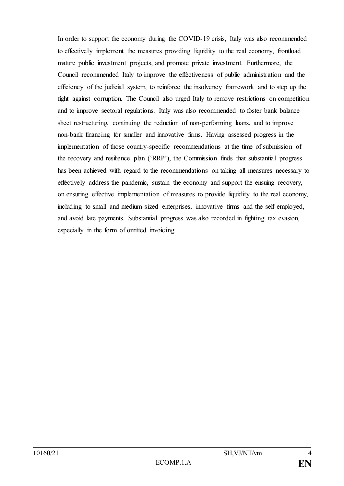In order to support the economy during the COVID-19 crisis, Italy was also recommended to effectively implement the measures providing liquidity to the real economy, frontload mature public investment projects, and promote private investment. Furthermore, the Council recommended Italy to improve the effectiveness of public administration and the efficiency of the judicial system, to reinforce the insolvency framework and to step up the fight against corruption. The Council also urged Italy to remove restrictions on competition and to improve sectoral regulations. Italy was also recommended to foster bank balance sheet restructuring, continuing the reduction of non-performing loans, and to improve non-bank financing for smaller and innovative firms. Having assessed progress in the implementation of those country-specific recommendations at the time of submission of the recovery and resilience plan ('RRP'), the Commission finds that substantial progress has been achieved with regard to the recommendations on taking all measures necessary to effectively address the pandemic, sustain the economy and support the ensuing recovery, on ensuring effective implementation of measures to provide liquidity to the real economy, including to small and medium-sized enterprises, innovative firms and the self-employed, and avoid late payments. Substantial progress was also recorded in fighting tax evasion, especially in the form of omitted invoicing.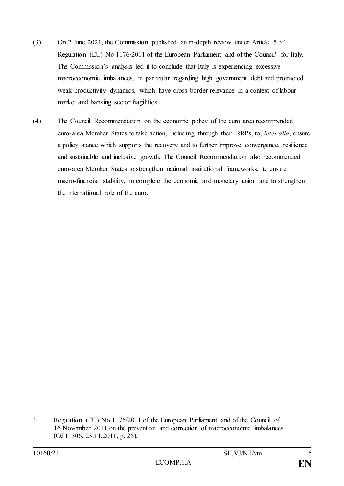- (3) On 2 June 2021, the Commission published an in-depth review under Article 5 of Regulation (EU) No 1176/2011 of the European Parliament and of the Council**<sup>1</sup>** for Italy. The Commission's analysis led it to conclude that Italy is experiencing excessive macroeconomic imbalances, in particular regarding high government debt and protracted weak productivity dynamics, which have cross-border relevance in a context of labour market and banking sector fragilities.
- (4) The Council Recommendation on the economic policy of the euro area recommended euro-area Member States to take action, including through their RRPs, to, *inter alia*, ensure a policy stance which supports the recovery and to further improve convergence, resilience and sustainable and inclusive growth. The Council Recommendation also recommended euro-area Member States to strengthen national institutional frameworks, to ensure macro-financial stability, to complete the economic and monetary union and to strengthen the international role of the euro.

**<sup>1</sup>** Regulation (EU) No 1176/2011 of the European Parliament and of the Council of 16 November 2011 on the prevention and correction of macroeconomic imbalances (OJ L 306, 23.11.2011, p. 25).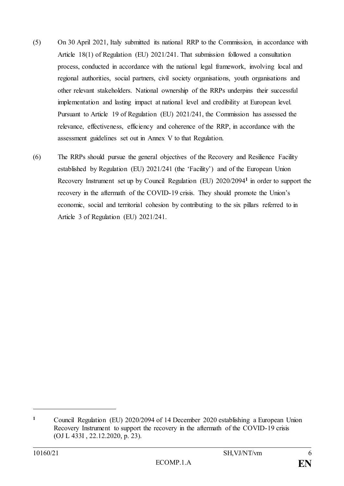- (5) On 30 April 2021, Italy submitted its national RRP to the Commission, in accordance with Article 18(1) of Regulation (EU) 2021/241. That submission followed a consultation process, conducted in accordance with the national legal framework, involving local and regional authorities, social partners, civil society organisations, youth organisations and other relevant stakeholders. National ownership of the RRPs underpins their successful implementation and lasting impact at national level and credibility at European level. Pursuant to Article 19 of Regulation (EU) 2021/241, the Commission has assessed the relevance, effectiveness, efficiency and coherence of the RRP, in accordance with the assessment guidelines set out in Annex V to that Regulation.
- (6) The RRPs should pursue the general objectives of the Recovery and Resilience Facility established by Regulation (EU) 2021/241 (the 'Facility') and of the European Union Recovery Instrument set up by Council Regulation (EU) 2020/2094**<sup>1</sup>** in order to support the recovery in the aftermath of the COVID-19 crisis. They should promote the Union's economic, social and territorial cohesion by contributing to the six pillars referred to in Article 3 of Regulation (EU) 2021/241.

**<sup>1</sup>** Council Regulation (EU) 2020/2094 of 14 December 2020 establishing a European Union Recovery Instrument to support the recovery in the aftermath of the COVID-19 crisis (OJ L 433I , 22.12.2020, p. 23).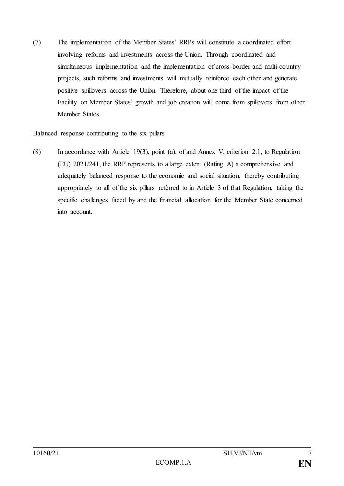(7) The implementation of the Member States' RRPs will constitute a coordinated effort involving reforms and investments across the Union. Through coordinated and simultaneous implementation and the implementation of cross-border and multi-country projects, such reforms and investments will mutually reinforce each other and generate positive spillovers across the Union. Therefore, about one third of the impact of the Facility on Member States' growth and job creation will come from spillovers from other Member States.

Balanced response contributing to the six pillars

(8) In accordance with Article 19(3), point (a), of and Annex V, criterion 2.1, to Regulation (EU) 2021/241, the RRP represents to a large extent (Rating A) a comprehensive and adequately balanced response to the economic and social situation, thereby contributing appropriately to all of the six pillars referred to in Article 3 of that Regulation, taking the specific challenges faced by and the financial allocation for the Member State concerned into account.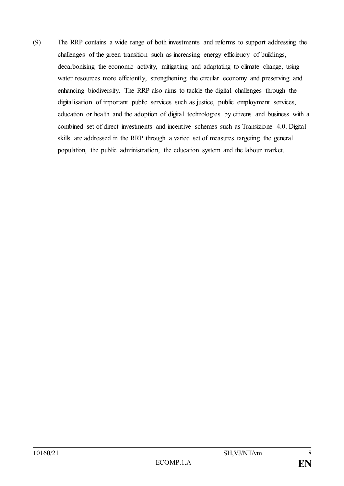(9) The RRP contains a wide range of both investments and reforms to support addressing the challenges of the green transition such as increasing energy efficiency of buildings, decarbonising the economic activity, mitigating and adaptating to climate change, using water resources more efficiently, strengthening the circular economy and preserving and enhancing biodiversity. The RRP also aims to tackle the digital challenges through the digitalisation of important public services such as justice, public employment services, education or health and the adoption of digital technologies by citizens and business with a combined set of direct investments and incentive schemes such as Transizione 4.0. Digital skills are addressed in the RRP through a varied set of measures targeting the general population, the public administration, the education system and the labour market.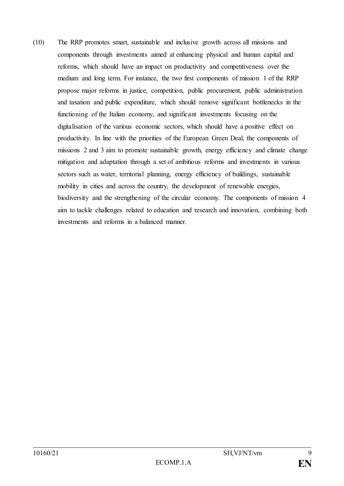(10) The RRP promotes smart, sustainable and inclusive growth across all missions and components through investments aimed at enhancing physical and human capital and reforms, which should have an impact on productivity and competitiveness over the medium and long term. For instance, the two first components of mission 1 of the RRP propose major reforms in justice, competition, public procurement, public administration and taxation and public expenditure, which should remove significant bottlenecks in the functioning of the Italian economy, and significant investments focusing on the digitalisation of the various economic sectors, which should have a positive effect on productivity. In line with the priorities of the European Green Deal, the components of missions 2 and 3 aim to promote sustainable growth, energy efficiency and climate change mitigation and adaptation through a set of ambitious reforms and investments in various sectors such as water, territorial planning, energy efficiency of buildings, sustainable mobility in cities and across the country, the development of renewable energies, biodiversity and the strengthening of the circular economy. The components of mission 4 aim to tackle challenges related to education and research and innovation, combining both investments and reforms in a balanced manner.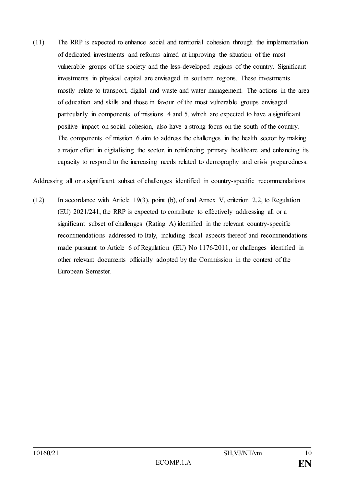(11) The RRP is expected to enhance social and territorial cohesion through the implementation of dedicated investments and reforms aimed at improving the situation of the most vulnerable groups of the society and the less-developed regions of the country. Significant investments in physical capital are envisaged in southern regions. These investments mostly relate to transport, digital and waste and water management. The actions in the area of education and skills and those in favour of the most vulnerable groups envisaged particularly in components of missions 4 and 5, which are expected to have a significant positive impact on social cohesion, also have a strong focus on the south of the country. The components of mission 6 aim to address the challenges in the health sector by making a major effort in digitalising the sector, in reinforcing primary healthcare and enhancing its capacity to respond to the increasing needs related to demography and crisis preparedness.

Addressing all or a significant subset of challenges identified in country-specific recommendations

(12) In accordance with Article 19(3), point (b), of and Annex V, criterion 2.2, to Regulation (EU) 2021/241, the RRP is expected to contribute to effectively addressing all or a significant subset of challenges (Rating A) identified in the relevant country-specific recommendations addressed to Italy, including fiscal aspects thereof and recommendations made pursuant to Article 6 of Regulation (EU) No 1176/2011, or challenges identified in other relevant documents officially adopted by the Commission in the context of the European Semester.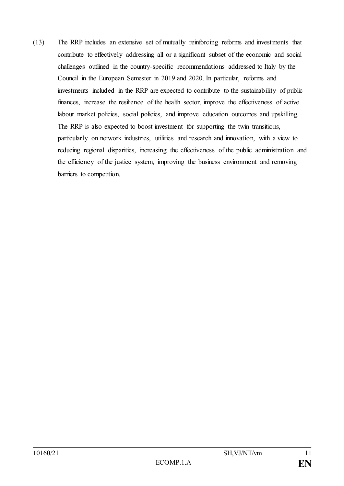(13) The RRP includes an extensive set of mutually reinforcing reforms and investments that contribute to effectively addressing all or a significant subset of the economic and social challenges outlined in the country-specific recommendations addressed to Italy by the Council in the European Semester in 2019 and 2020. In particular, reforms and investments included in the RRP are expected to contribute to the sustainability of public finances, increase the resilience of the health sector, improve the effectiveness of active labour market policies, social policies, and improve education outcomes and upskilling. The RRP is also expected to boost investment for supporting the twin transitions, particularly on network industries, utilities and research and innovation, with a view to reducing regional disparities, increasing the effectiveness of the public administration and the efficiency of the justice system, improving the business environment and removing barriers to competition.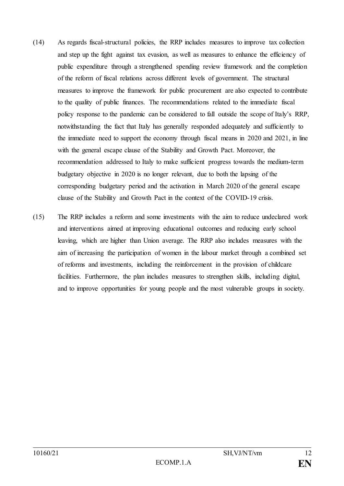- (14) As regards fiscal-structural policies, the RRP includes measures to improve tax collection and step up the fight against tax evasion, as well as measures to enhance the efficiency of public expenditure through a strengthened spending review framework and the completion of the reform of fiscal relations across different levels of government. The structural measures to improve the framework for public procurement are also expected to contribute to the quality of public finances. The recommendations related to the immediate fiscal policy response to the pandemic can be considered to fall outside the scope of Italy's RRP, notwithstanding the fact that Italy has generally responded adequately and sufficiently to the immediate need to support the economy through fiscal means in 2020 and 2021, in line with the general escape clause of the Stability and Growth Pact. Moreover, the recommendation addressed to Italy to make sufficient progress towards the medium-term budgetary objective in 2020 is no longer relevant, due to both the lapsing of the corresponding budgetary period and the activation in March 2020 of the general escape clause of the Stability and Growth Pact in the context of the COVID-19 crisis.
- (15) The RRP includes a reform and some investments with the aim to reduce undeclared work and interventions aimed at improving educational outcomes and reducing early school leaving, which are higher than Union average. The RRP also includes measures with the aim of increasing the participation of women in the labour market through a combined set of reforms and investments, including the reinforcement in the provision of childcare facilities. Furthermore, the plan includes measures to strengthen skills, including digital, and to improve opportunities for young people and the most vulnerable groups in society.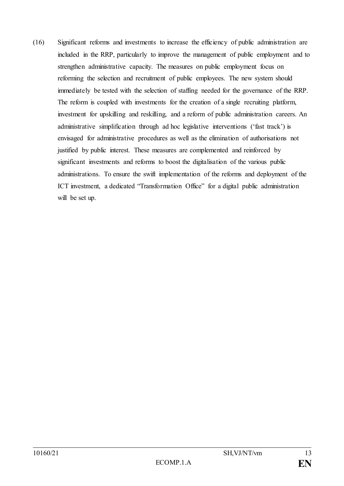(16) Significant reforms and investments to increase the efficiency of public administration are included in the RRP, particularly to improve the management of public employment and to strengthen administrative capacity. The measures on public employment focus on reforming the selection and recruitment of public employees. The new system should immediately be tested with the selection of staffing needed for the governance of the RRP. The reform is coupled with investments for the creation of a single recruiting platform, investment for upskilling and reskilling, and a reform of public administration careers. An administrative simplification through ad hoc legislative interventions ('fast track') is envisaged for administrative procedures as well as the elimination of authorisations not justified by public interest. These measures are complemented and reinforced by significant investments and reforms to boost the digitalisation of the various public administrations. To ensure the swift implementation of the reforms and deployment of the ICT investment, a dedicated "Transformation Office" for a digital public administration will be set up.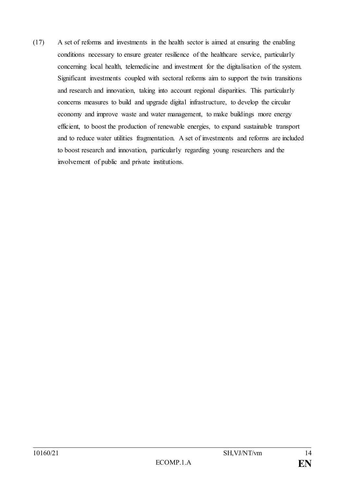(17) A set of reforms and investments in the health sector is aimed at ensuring the enabling conditions necessary to ensure greater resilience of the healthcare service, particularly concerning local health, telemedicine and investment for the digitalisation of the system. Significant investments coupled with sectoral reforms aim to support the twin transitions and research and innovation, taking into account regional disparities. This particularly concerns measures to build and upgrade digital infrastructure, to develop the circular economy and improve waste and water management, to make buildings more energy efficient, to boost the production of renewable energies, to expand sustainable transport and to reduce water utilities fragmentation. A set of investments and reforms are included to boost research and innovation, particularly regarding young researchers and the involvement of public and private institutions.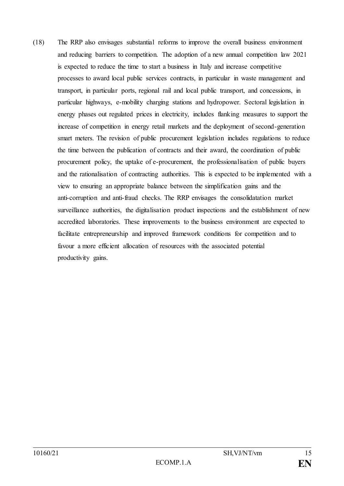(18) The RRP also envisages substantial reforms to improve the overall business environment and reducing barriers to competition. The adoption of a new annual competition law 2021 is expected to reduce the time to start a business in Italy and increase competitive processes to award local public services contracts, in particular in waste management and transport, in particular ports, regional rail and local public transport, and concessions, in particular highways, e-mobility charging stations and hydropower. Sectoral legislation in energy phases out regulated prices in electricity, includes flanking measures to support the increase of competition in energy retail markets and the deployment of second-generation smart meters. The revision of public procurement legislation includes regulations to reduce the time between the publication of contracts and their award, the coordination of public procurement policy, the uptake of e-procurement, the professionalisation of public buyers and the rationalisation of contracting authorities. This is expected to be implemented with a view to ensuring an appropriate balance between the simplification gains and the anti-corruption and anti-fraud checks. The RRP envisages the consolidatation market surveillance authorities, the digitalisation product inspections and the establishment of new accredited laboratories. These improvements to the business environment are expected to facilitate entrepreneurship and improved framework conditions for competition and to favour a more efficient allocation of resources with the associated potential productivity gains.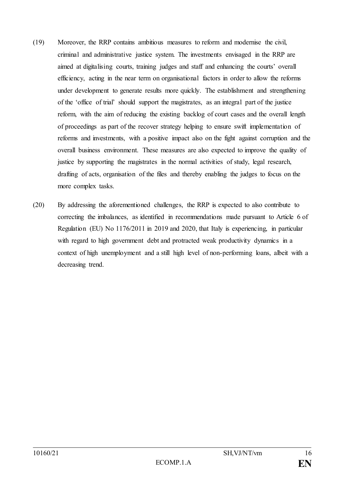- (19) Moreover, the RRP contains ambitious measures to reform and modernise the civil, criminal and administrative justice system. The investments envisaged in the RRP are aimed at digitalising courts, training judges and staff and enhancing the courts' overall efficiency, acting in the near term on organisational factors in order to allow the reforms under development to generate results more quickly. The establishment and strengthening of the 'office of trial' should support the magistrates, as an integral part of the justice reform, with the aim of reducing the existing backlog of court cases and the overall length of proceedings as part of the recover strategy helping to ensure swift implementation of reforms and investments, with a positive impact also on the fight against corruption and the overall business environment. These measures are also expected to improve the quality of justice by supporting the magistrates in the normal activities of study, legal research, drafting of acts, organisation of the files and thereby enabling the judges to focus on the more complex tasks.
- (20) By addressing the aforementioned challenges, the RRP is expected to also contribute to correcting the imbalances, as identified in recommendations made pursuant to Article 6 of Regulation (EU) No 1176/2011 in 2019 and 2020, that Italy is experiencing, in particular with regard to high government debt and protracted weak productivity dynamics in a context of high unemployment and a still high level of non-performing loans, albeit with a decreasing trend.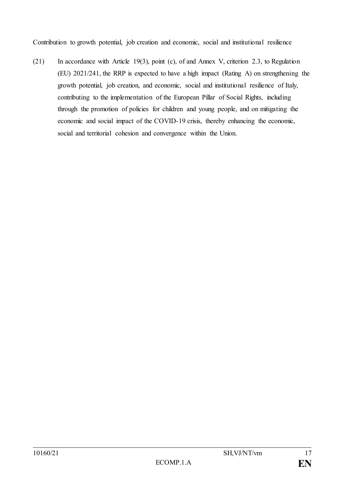Contribution to growth potential, job creation and economic, social and institutional resilience

(21) In accordance with Article 19(3), point (c), of and Annex V, criterion 2.3, to Regulation (EU) 2021/241, the RRP is expected to have a high impact (Rating A) on strengthening the growth potential, job creation, and economic, social and institutional resilience of Italy, contributing to the implementation of the European Pillar of Social Rights, including through the promotion of policies for children and young people, and on mitigating the economic and social impact of the COVID-19 crisis, thereby enhancing the economic, social and territorial cohesion and convergence within the Union.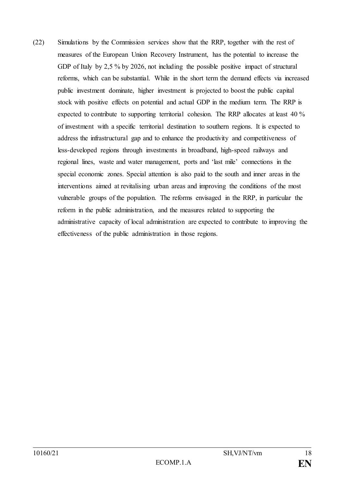(22) Simulations by the Commission services show that the RRP, together with the rest of measures of the European Union Recovery Instrument, has the potential to increase the GDP of Italy by 2,5 % by 2026, not including the possible positive impact of structural reforms, which can be substantial. While in the short term the demand effects via increased public investment dominate, higher investment is projected to boost the public capital stock with positive effects on potential and actual GDP in the medium term. The RRP is expected to contribute to supporting territorial cohesion. The RRP allocates at least 40 % of investment with a specific territorial destination to southern regions. It is expected to address the infrastructural gap and to enhance the productivity and competitiveness of less-developed regions through investments in broadband, high-speed railways and regional lines, waste and water management, ports and 'last mile' connections in the special economic zones. Special attention is also paid to the south and inner areas in the interventions aimed at revitalising urban areas and improving the conditions of the most vulnerable groups of the population. The reforms envisaged in the RRP, in particular the reform in the public administration, and the measures related to supporting the administrative capacity of local administration are expected to contribute to improving the effectiveness of the public administration in those regions.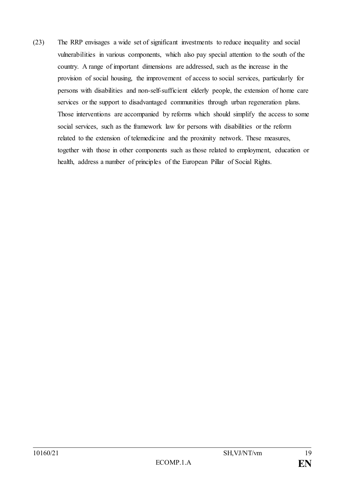(23) The RRP envisages a wide set of significant investments to reduce inequality and social vulnerabilities in various components, which also pay special attention to the south of the country. A range of important dimensions are addressed, such as the increase in the provision of social housing, the improvement of access to social services, particularly for persons with disabilities and non-self-sufficient elderly people, the extension of home care services or the support to disadvantaged communities through urban regeneration plans. Those interventions are accompanied by reforms which should simplify the access to some social services, such as the framework law for persons with disabilities or the reform related to the extension of telemedicine and the proximity network. These measures, together with those in other components such as those related to employment, education or health, address a number of principles of the European Pillar of Social Rights.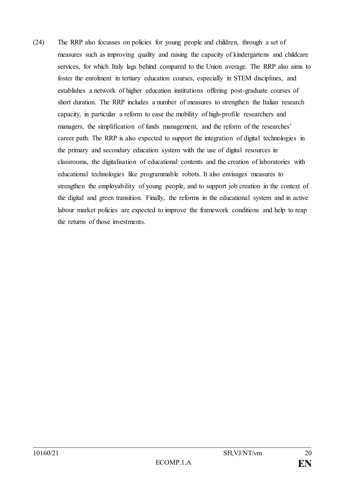(24) The RRP also focusses on policies for young people and children, through a set of measures such as improving quality and raising the capacity of kindergartens and childcare services, for which Italy lags behind compared to the Union average. The RRP also aims to foster the enrolment in tertiary education courses, especially in STEM disciplines, and establishes a network of higher education institutions offering post-graduate courses of short duration. The RRP includes a number of measures to strengthen the Italian research capacity, in particular a reform to ease the mobility of high-profile researchers and managers, the simplification of funds management, and the reform of the researches' career path. The RRP is also expected to support the integration of digital technologies in the primary and secondary education system with the use of digital resources in classrooms, the digitalisation of educational contents and the creation of laboratories with educational technologies like programmable robots. It also envisages measures to strengthen the employability of young people, and to support job creation in the context of the digital and green transition. Finally, the reforms in the educational system and in active labour market policies are expected to improve the framework conditions and help to reap the returns of those investments.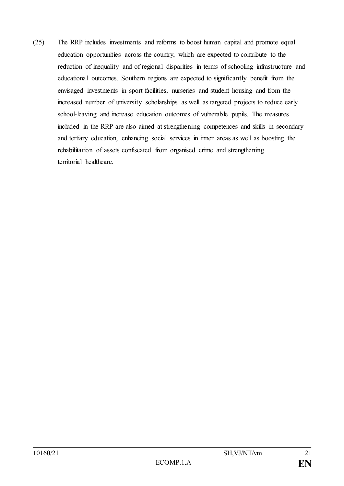(25) The RRP includes investments and reforms to boost human capital and promote equal education opportunities across the country, which are expected to contribute to the reduction of inequality and of regional disparities in terms of schooling infrastructure and educational outcomes. Southern regions are expected to significantly benefit from the envisaged investments in sport facilities, nurseries and student housing and from the increased number of university scholarships as well as targeted projects to reduce early school-leaving and increase education outcomes of vulnerable pupils. The measures included in the RRP are also aimed at strengthening competences and skills in secondary and tertiary education, enhancing social services in inner areas as well as boosting the rehabilitation of assets confiscated from organised crime and strengthening territorial healthcare.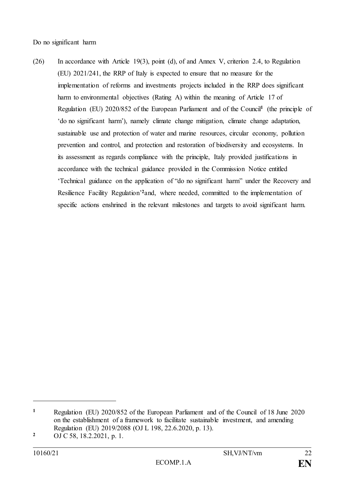Do no significant harm

(26) In accordance with Article 19(3), point (d), of and Annex V, criterion 2.4, to Regulation (EU) 2021/241, the RRP of Italy is expected to ensure that no measure for the implementation of reforms and investments projects included in the RRP does significant harm to environmental objectives (Rating A) within the meaning of Article 17 of Regulation (EU) 2020/852 of the European Parliament and of the Council**<sup>1</sup>** (the principle of 'do no significant harm'), namely climate change mitigation, climate change adaptation, sustainable use and protection of water and marine resources, circular economy, pollution prevention and control, and protection and restoration of biodiversity and ecosystems. In its assessment as regards compliance with the principle, Italy provided justifications in accordance with the technical guidance provided in the Commission Notice entitled 'Technical guidance on the application of "do no significant harm" under the Recovery and Resilience Facility Regulation' **<sup>2</sup>**and, where needed, committed to the implementation of specific actions enshrined in the relevant milestones and targets to avoid significant harm.

**<sup>1</sup>** Regulation (EU) 2020/852 of the European Parliament and of the Council of 18 June 2020 on the establishment of a framework to facilitate sustainable investment, and amending Regulation (EU) 2019/2088 (OJ L 198, 22.6.2020, p. 13).

**<sup>2</sup>** OJ C 58, 18.2.2021, p. 1.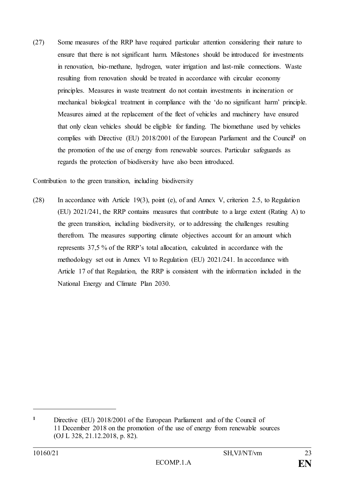(27) Some measures of the RRP have required particular attention considering their nature to ensure that there is not significant harm. Milestones should be introduced for investments in renovation, bio-methane, hydrogen, water irrigation and last-mile connections. Waste resulting from renovation should be treated in accordance with circular economy principles. Measures in waste treatment do not contain investments in incineration or mechanical biological treatment in compliance with the 'do no significant harm' principle. Measures aimed at the replacement of the fleet of vehicles and machinery have ensured that only clean vehicles should be eligible for funding. The biomethane used by vehicles complies with Directive (EU) 2018/2001 of the European Parliament and the Council**<sup>1</sup>** on the promotion of the use of energy from renewable sources. Particular safeguards as regards the protection of biodiversity have also been introduced.

Contribution to the green transition, including biodiversity

(28) In accordance with Article 19(3), point (e), of and Annex V, criterion 2.5, to Regulation (EU) 2021/241, the RRP contains measures that contribute to a large extent (Rating A) to the green transition, including biodiversity, or to addressing the challenges resulting therefrom. The measures supporting climate objectives account for an amount which represents 37,5 % of the RRP's total allocation, calculated in accordance with the methodology set out in Annex VI to Regulation (EU) 2021/241. In accordance with Article 17 of that Regulation, the RRP is consistent with the information included in the National Energy and Climate Plan 2030.

**<sup>1</sup>** Directive (EU) 2018/2001 of the European Parliament and of the Council of 11 December 2018 on the promotion of the use of energy from renewable sources (OJ L 328, 21.12.2018, p. 82).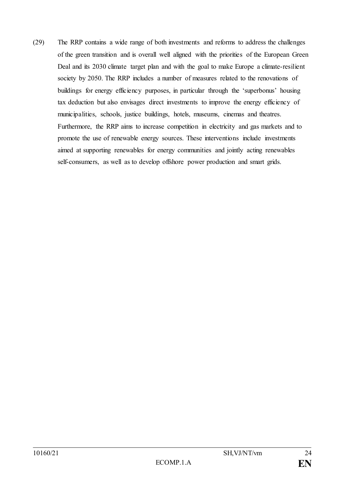(29) The RRP contains a wide range of both investments and reforms to address the challenges of the green transition and is overall well aligned with the priorities of the European Green Deal and its 2030 climate target plan and with the goal to make Europe a climate-resilient society by 2050. The RRP includes a number of measures related to the renovations of buildings for energy efficiency purposes, in particular through the 'superbonus' housing tax deduction but also envisages direct investments to improve the energy efficiency of municipalities, schools, justice buildings, hotels, museums, cinemas and theatres. Furthermore, the RRP aims to increase competition in electricity and gas markets and to promote the use of renewable energy sources. These interventions include investments aimed at supporting renewables for energy communities and jointly acting renewables self-consumers, as well as to develop offshore power production and smart grids.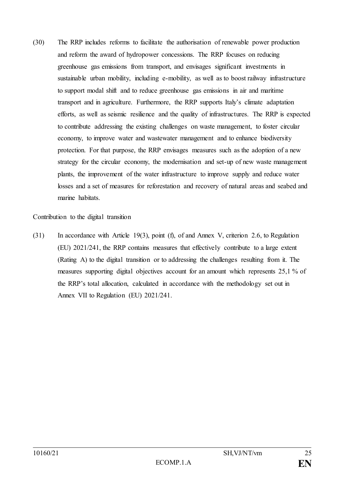(30) The RRP includes reforms to facilitate the authorisation of renewable power production and reform the award of hydropower concessions. The RRP focuses on reducing greenhouse gas emissions from transport, and envisages significant investments in sustainable urban mobility, including e-mobility, as well as to boost railway infrastructure to support modal shift and to reduce greenhouse gas emissions in air and maritime transport and in agriculture. Furthermore, the RRP supports Italy's climate adaptation efforts, as well as seismic resilience and the quality of infrastructures. The RRP is expected to contribute addressing the existing challenges on waste management, to foster circular economy, to improve water and wastewater management and to enhance biodiversity protection. For that purpose, the RRP envisages measures such as the adoption of a new strategy for the circular economy, the modernisation and set-up of new waste management plants, the improvement of the water infrastructure to improve supply and reduce water losses and a set of measures for reforestation and recovery of natural areas and seabed and marine habitats.

Contribution to the digital transition

(31) In accordance with Article 19(3), point (f), of and Annex V, criterion 2.6, to Regulation (EU) 2021/241, the RRP contains measures that effectively contribute to a large extent (Rating A) to the digital transition or to addressing the challenges resulting from it. The measures supporting digital objectives account for an amount which represents 25,1 % of the RRP's total allocation, calculated in accordance with the methodology set out in Annex VII to Regulation (EU) 2021/241.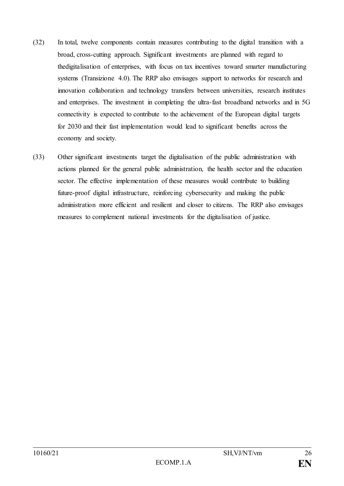- (32) In total, twelve components contain measures contributing to the digital transition with a broad, cross-cutting approach. Significant investments are planned with regard to thedigitalisation of enterprises, with focus on tax incentives toward smarter manufacturing systems (Transizione 4.0). The RRP also envisages support to networks for research and innovation collaboration and technology transfers between universities, research institutes and enterprises. The investment in completing the ultra-fast broadband networks and in 5G connectivity is expected to contribute to the achievement of the European digital targets for 2030 and their fast implementation would lead to significant benefits across the economy and society.
- (33) Other significant investments target the digitalisation of the public administration with actions planned for the general public administration, the health sector and the education sector. The effective implementation of these measures would contribute to building future-proof digital infrastructure, reinforcing cybersecurity and making the public administration more efficient and resilient and closer to citizens. The RRP also envisages measures to complement national investments for the digitalisation of justice.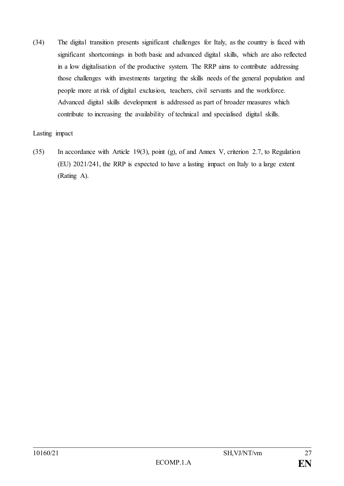(34) The digital transition presents significant challenges for Italy, as the country is faced with significant shortcomings in both basic and advanced digital skills, which are also reflected in a low digitalisation of the productive system. The RRP aims to contribute addressing those challenges with investments targeting the skills needs of the general population and people more at risk of digital exclusion, teachers, civil servants and the workforce. Advanced digital skills development is addressed as part of broader measures which contribute to increasing the availability of technical and specialised digital skills.

### Lasting impact

(35) In accordance with Article 19(3), point (g), of and Annex V, criterion 2.7, to Regulation (EU) 2021/241, the RRP is expected to have a lasting impact on Italy to a large extent (Rating A).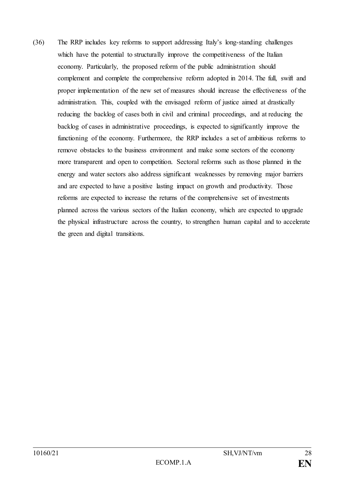(36) The RRP includes key reforms to support addressing Italy's long-standing challenges which have the potential to structurally improve the competitiveness of the Italian economy. Particularly, the proposed reform of the public administration should complement and complete the comprehensive reform adopted in 2014. The full, swift and proper implementation of the new set of measures should increase the effectiveness of the administration. This, coupled with the envisaged reform of justice aimed at drastically reducing the backlog of cases both in civil and criminal proceedings, and at reducing the backlog of cases in administrative proceedings, is expected to significantly improve the functioning of the economy. Furthermore, the RRP includes a set of ambitious reforms to remove obstacles to the business environment and make some sectors of the economy more transparent and open to competition. Sectoral reforms such as those planned in the energy and water sectors also address significant weaknesses by removing major barriers and are expected to have a positive lasting impact on growth and productivity. Those reforms are expected to increase the returns of the comprehensive set of investments planned across the various sectors of the Italian economy, which are expected to upgrade the physical infrastructure across the country, to strengthen human capital and to accelerate the green and digital transitions.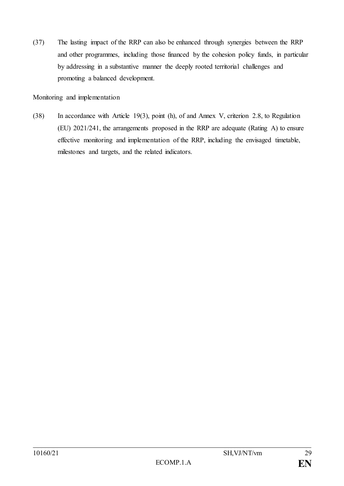(37) The lasting impact of the RRP can also be enhanced through synergies between the RRP and other programmes, including those financed by the cohesion policy funds, in particular by addressing in a substantive manner the deeply rooted territorial challenges and promoting a balanced development.

Monitoring and implementation

(38) In accordance with Article 19(3), point (h), of and Annex V, criterion 2.8, to Regulation (EU) 2021/241, the arrangements proposed in the RRP are adequate (Rating A) to ensure effective monitoring and implementation of the RRP, including the envisaged timetable, milestones and targets, and the related indicators.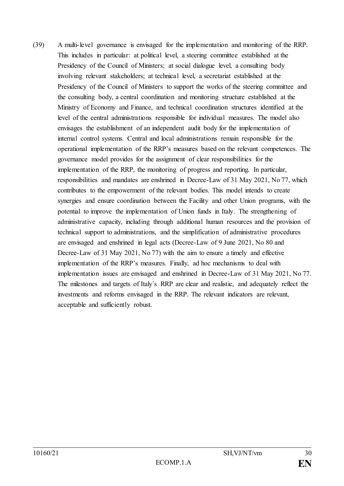(39) A multi-level governance is envisaged for the implementation and monitoring of the RRP. This includes in particular: at political level, a steering committee established at the Presidency of the Council of Ministers; at social dialogue level, a consulting body involving relevant stakeholders; at technical level, a secretariat established at the Presidency of the Council of Ministers to support the works of the steering committee and the consulting body, a central coordination and monitoring structure established at the Ministry of Economy and Finance, and technical coordination structures identified at the level of the central administrations responsible for individual measures. The model also envisages the establishment of an independent audit body for the implementation of internal control systems. Central and local administrations remain responsible for the operational implementation of the RRP's measures based on the relevant competences. The governance model provides for the assignment of clear responsibilities for the implementation of the RRP, the monitoring of progress and reporting. In particular, responsibilities and mandates are enshrined in Decree-Law of 31 May 2021, No 77, which contributes to the empowerment of the relevant bodies. This model intends to create synergies and ensure coordination between the Facility and other Union programs, with the potential to improve the implementation of Union funds in Italy. The strengthening of administrative capacity, including through additional human resources and the provision of technical support to administrations, and the simplification of administrative procedures are envisaged and enshrined in legal acts (Decree-Law of 9 June 2021, No 80 and Decree-Law of 31 May 2021, No 77) with the aim to ensure a timely and effective implementation of the RRP's measures. Finally, ad hoc mechanisms to deal with implementation issues are envisaged and enshrined in Decree-Law of 31 May 2021, No 77. The milestones and targets of Italy´s RRP are clear and realistic, and adequately reflect the investments and reforms envisaged in the RRP. The relevant indicators are relevant, acceptable and sufficiently robust.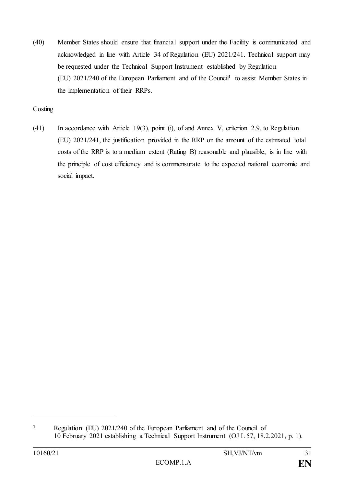(40) Member States should ensure that financial support under the Facility is communicated and acknowledged in line with Article 34 of Regulation (EU) 2021/241. Technical support may be requested under the Technical Support Instrument established by Regulation (EU) 2021/240 of the European Parliament and of the Council**<sup>1</sup>** to assist Member States in the implementation of their RRPs.

## Costing

(41) In accordance with Article 19(3), point (i), of and Annex V, criterion 2.9, to Regulation (EU) 2021/241, the justification provided in the RRP on the amount of the estimated total costs of the RRP is to a medium extent (Rating B) reasonable and plausible, is in line with the principle of cost efficiency and is commensurate to the expected national economic and social impact.

**<sup>1</sup>** Regulation (EU) 2021/240 of the European Parliament and of the Council of 10 February 2021 establishing a Technical Support Instrument (OJ L 57, 18.2.2021, p. 1).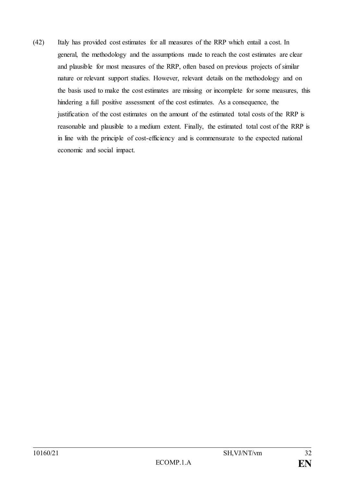(42) Italy has provided cost estimates for all measures of the RRP which entail a cost. In general, the methodology and the assumptions made to reach the cost estimates are clear and plausible for most measures of the RRP, often based on previous projects of similar nature or relevant support studies. However, relevant details on the methodology and on the basis used to make the cost estimates are missing or incomplete for some measures, this hindering a full positive assessment of the cost estimates. As a consequence, the justification of the cost estimates on the amount of the estimated total costs of the RRP is reasonable and plausible to a medium extent. Finally, the estimated total cost of the RRP is in line with the principle of cost-efficiency and is commensurate to the expected national economic and social impact.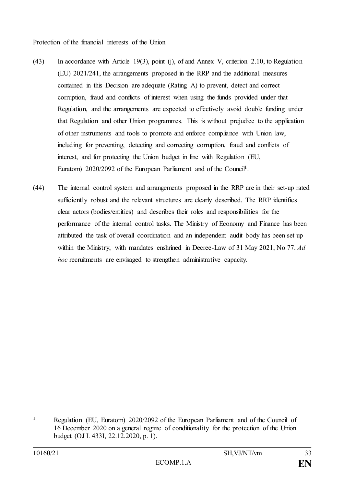Protection of the financial interests of the Union

- (43) In accordance with Article 19(3), point (j), of and Annex V, criterion 2.10, to Regulation (EU) 2021/241, the arrangements proposed in the RRP and the additional measures contained in this Decision are adequate (Rating A) to prevent, detect and correct corruption, fraud and conflicts of interest when using the funds provided under that Regulation, and the arrangements are expected to effectively avoid double funding under that Regulation and other Union programmes. This is without prejudice to the application of other instruments and tools to promote and enforce compliance with Union law, including for preventing, detecting and correcting corruption, fraud and conflicts of interest, and for protecting the Union budget in line with Regulation (EU, Euratom) 2020/2092 of the European Parliament and of the Council**<sup>1</sup>** .
- (44) The internal control system and arrangements proposed in the RRP are in their set-up rated sufficiently robust and the relevant structures are clearly described. The RRP identifies clear actors (bodies/entities) and describes their roles and responsibilities for the performance of the internal control tasks. The Ministry of Economy and Finance has been attributed the task of overall coordination and an independent audit body has been set up within the Ministry, with mandates enshrined in Decree-Law of 31 May 2021, No 77. *Ad hoc* recruitments are envisaged to strengthen administrative capacity.

**<sup>1</sup>** Regulation (EU, Euratom) 2020/2092 of the European Parliament and of the Council of 16 December 2020 on a general regime of conditionality for the protection of the Union budget (OJ L 433I, 22.12.2020, p. 1).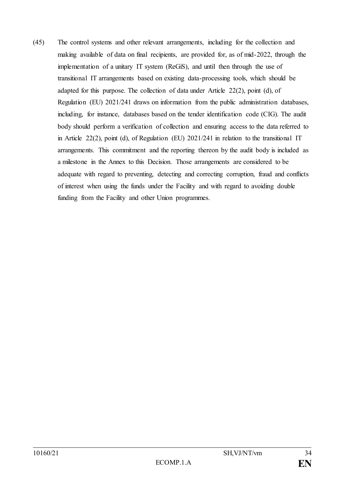(45) The control systems and other relevant arrangements, including for the collection and making available of data on final recipients, are provided for, as of mid-2022, through the implementation of a unitary IT system (ReGiS), and until then through the use of transitional IT arrangements based on existing data-processing tools, which should be adapted for this purpose. The collection of data under Article 22(2), point (d), of Regulation (EU) 2021/241 draws on information from the public administration databases, including, for instance, databases based on the tender identification code (CIG). The audit body should perform a verification of collection and ensuring access to the data referred to in Article 22(2), point (d), of Regulation (EU) 2021/241 in relation to the transitional IT arrangements. This commitment and the reporting thereon by the audit body is included as a milestone in the Annex to this Decision. Those arrangements are considered to be adequate with regard to preventing, detecting and correcting corruption, fraud and conflicts of interest when using the funds under the Facility and with regard to avoiding double funding from the Facility and other Union programmes.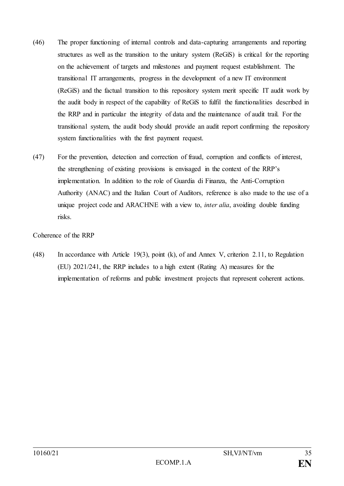- (46) The proper functioning of internal controls and data-capturing arrangements and reporting structures as well as the transition to the unitary system (ReGiS) is critical for the reporting on the achievement of targets and milestones and payment request establishment. The transitional IT arrangements, progress in the development of a new IT environment (ReGiS) and the factual transition to this repository system merit specific IT audit work by the audit body in respect of the capability of ReGiS to fulfil the functionalities described in the RRP and in particular the integrity of data and the maintenance of audit trail. For the transitional system, the audit body should provide an audit report confirming the repository system functionalities with the first payment request.
- (47) For the prevention, detection and correction of fraud, corruption and conflicts of interest, the strengthening of existing provisions is envisaged in the context of the RRP's implementation. In addition to the role of Guardia di Finanza, the Anti-Corruption Authority (ANAC) and the Italian Court of Auditors, reference is also made to the use of a unique project code and ARACHNE with a view to, *inter alia*, avoiding double funding risks.

Coherence of the RRP

(48) In accordance with Article 19(3), point (k), of and Annex V, criterion 2.11, to Regulation (EU) 2021/241, the RRP includes to a high extent (Rating A) measures for the implementation of reforms and public investment projects that represent coherent actions.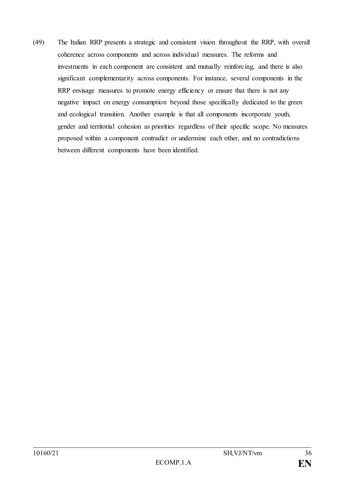(49) The Italian RRP presents a strategic and consistent vision throughout the RRP, with overall coherence across components and across individual measures. The reforms and investments in each component are consistent and mutually reinforcing, and there is also significant complementarity across components. For instance, several components in the RRP envisage measures to promote energy efficiency or ensure that there is not any negative impact on energy consumption beyond those specifically dedicated to the green and ecological transition. Another example is that all components incorporate youth, gender and territorial cohesion as priorities regardless of their specific scope. No measures proposed within a component contradict or undermine each other, and no contradictions between different components have been identified.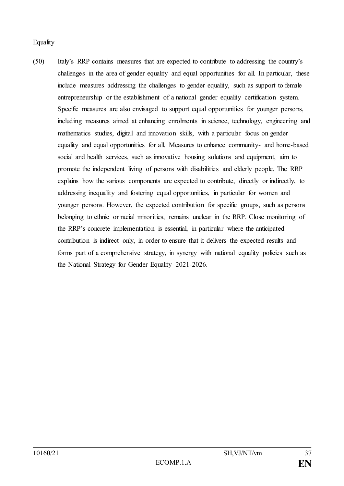## **Equality**

(50) Italy's RRP contains measures that are expected to contribute to addressing the country's challenges in the area of gender equality and equal opportunities for all. In particular, these include measures addressing the challenges to gender equality, such as support to female entrepreneurship or the establishment of a national gender equality certification system. Specific measures are also envisaged to support equal opportunities for younger persons, including measures aimed at enhancing enrolments in science, technology, engineering and mathematics studies, digital and innovation skills, with a particular focus on gender equality and equal opportunities for all. Measures to enhance community- and home-based social and health services, such as innovative housing solutions and equipment, aim to promote the independent living of persons with disabilities and elderly people. The RRP explains how the various components are expected to contribute, directly or indirectly, to addressing inequality and fostering equal opportunities, in particular for women and younger persons. However, the expected contribution for specific groups, such as persons belonging to ethnic or racial minorities, remains unclear in the RRP. Close monitoring of the RRP's concrete implementation is essential, in particular where the anticipated contribution is indirect only, in order to ensure that it delivers the expected results and forms part of a comprehensive strategy, in synergy with national equality policies such as the National Strategy for Gender Equality 2021-2026.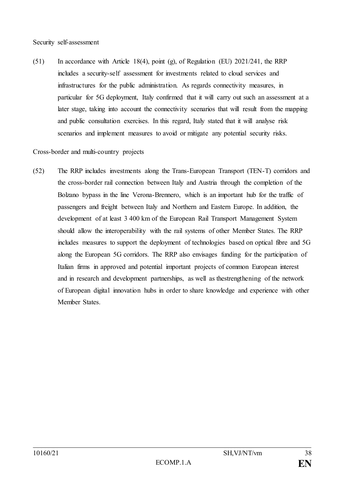#### Security self-assessment

(51) In accordance with Article 18(4), point (g), of Regulation (EU) 2021/241, the RRP includes a security-self assessment for investments related to cloud services and infrastructures for the public administration. As regards connectivity measures, in particular for 5G deployment, Italy confirmed that it will carry out such an assessment at a later stage, taking into account the connectivity scenarios that will result from the mapping and public consultation exercises. In this regard, Italy stated that it will analyse risk scenarios and implement measures to avoid or mitigate any potential security risks.

#### Cross-border and multi-country projects

(52) The RRP includes investments along the Trans-European Transport (TEN-T) corridors and the cross-border rail connection between Italy and Austria through the completion of the Bolzano bypass in the line Verona-Brennero, which is an important hub for the traffic of passengers and freight between Italy and Northern and Eastern Europe. In addition, the development of at least 3 400 km of the European Rail Transport Management System should allow the interoperability with the rail systems of other Member States. The RRP includes measures to support the deployment of technologies based on optical fibre and 5G along the European 5G corridors. The RRP also envisages funding for the participation of Italian firms in approved and potential important projects of common European interest and in research and development partnerships, as well as thestrengthening of the network of European digital innovation hubs in order to share knowledge and experience with other Member States.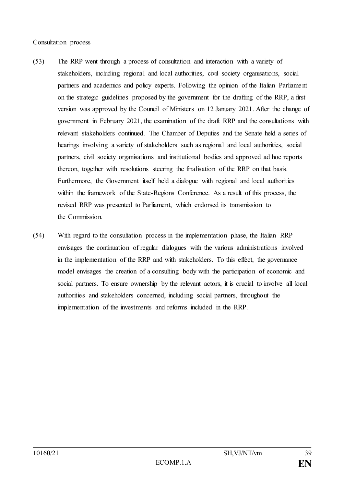#### Consultation process

- (53) The RRP went through a process of consultation and interaction with a variety of stakeholders, including regional and local authorities, civil society organisations, social partners and academics and policy experts. Following the opinion of the Italian Parliame nt on the strategic guidelines proposed by the government for the drafting of the RRP, a first version was approved by the Council of Ministers on 12 January 2021. After the change of government in February 2021, the examination of the draft RRP and the consultations with relevant stakeholders continued. The Chamber of Deputies and the Senate held a series of hearings involving a variety of stakeholders such as regional and local authorities, social partners, civil society organisations and institutional bodies and approved ad hoc reports thereon, together with resolutions steering the finalisation of the RRP on that basis. Furthermore, the Government itself held a dialogue with regional and local authorities within the framework of the State-Regions Conference. As a result of this process, the revised RRP was presented to Parliament, which endorsed its transmission to the Commission.
- (54) With regard to the consultation process in the implementation phase, the Italian RRP envisages the continuation of regular dialogues with the various administrations involved in the implementation of the RRP and with stakeholders. To this effect, the governance model envisages the creation of a consulting body with the participation of economic and social partners. To ensure ownership by the relevant actors, it is crucial to involve all local authorities and stakeholders concerned, including social partners, throughout the implementation of the investments and reforms included in the RRP.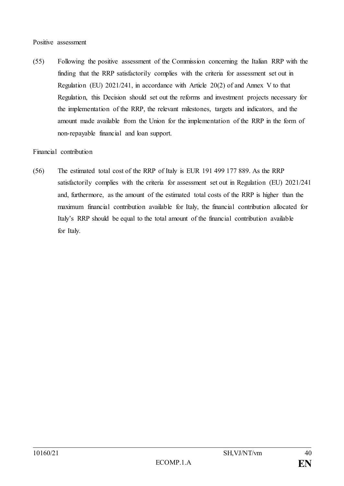#### Positive assessment

(55) Following the positive assessment of the Commission concerning the Italian RRP with the finding that the RRP satisfactorily complies with the criteria for assessment set out in Regulation (EU) 2021/241, in accordance with Article 20(2) of and Annex V to that Regulation, this Decision should set out the reforms and investment projects necessary for the implementation of the RRP, the relevant milestones, targets and indicators, and the amount made available from the Union for the implementation of the RRP in the form of non-repayable financial and loan support.

## Financial contribution

(56) The estimated total cost of the RRP of Italy is EUR 191 499 177 889. As the RRP satisfactorily complies with the criteria for assessment set out in Regulation (EU) 2021/241 and, furthermore, as the amount of the estimated total costs of the RRP is higher than the maximum financial contribution available for Italy, the financial contribution allocated for Italy's RRP should be equal to the total amount of the financial contribution available for Italy.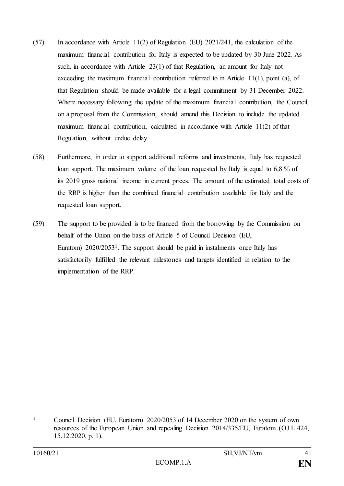- (57) In accordance with Article 11(2) of Regulation (EU) 2021/241, the calculation of the maximum financial contribution for Italy is expected to be updated by 30 June 2022. As such, in accordance with Article 23(1) of that Regulation, an amount for Italy not exceeding the maximum financial contribution referred to in Article  $11(1)$ , point (a), of that Regulation should be made available for a legal commitment by 31 December 2022. Where necessary following the update of the maximum financial contribution, the Council, on a proposal from the Commission, should amend this Decision to include the updated maximum financial contribution, calculated in accordance with Article 11(2) of that Regulation, without undue delay.
- (58) Furthermore, in order to support additional reforms and investments, Italy has requested loan support. The maximum volume of the loan requested by Italy is equal to 6,8 % of its 2019 gross national income in current prices. The amount of the estimated total costs of the RRP is higher than the combined financial contribution available for Italy and the requested loan support.
- (59) The support to be provided is to be financed from the borrowing by the Commission on behalf of the Union on the basis of Article 5 of Council Decision (EU, Euratom) 2020/2053**<sup>1</sup>** . The support should be paid in instalments once Italy has satisfactorily fulfilled the relevant milestones and targets identified in relation to the implementation of the RRP.

**<sup>1</sup>** Council Decision (EU, Euratom) 2020/2053 of 14 December 2020 on the system of own resources of the European Union and repealing Decision 2014/335/EU, Euratom (OJ L 424, 15.12.2020, p. 1).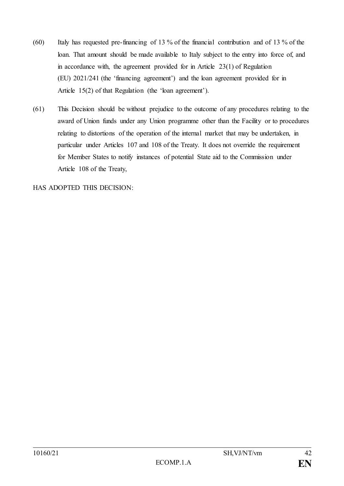- (60) Italy has requested pre-financing of 13 % of the financial contribution and of 13 % of the loan. That amount should be made available to Italy subject to the entry into force of, and in accordance with, the agreement provided for in Article 23(1) of Regulation (EU) 2021/241 (the 'financing agreement') and the loan agreement provided for in Article 15(2) of that Regulation (the 'loan agreement').
- (61) This Decision should be without prejudice to the outcome of any procedures relating to the award of Union funds under any Union programme other than the Facility or to procedures relating to distortions of the operation of the internal market that may be undertaken, in particular under Articles 107 and 108 of the Treaty. It does not override the requirement for Member States to notify instances of potential State aid to the Commission under Article 108 of the Treaty,

HAS ADOPTED THIS DECISION: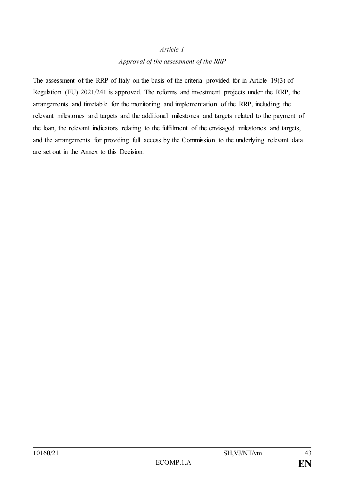#### *Article 1*

## *Approval of the assessment of the RRP*

The assessment of the RRP of Italy on the basis of the criteria provided for in Article 19(3) of Regulation (EU) 2021/241 is approved. The reforms and investment projects under the RRP, the arrangements and timetable for the monitoring and implementation of the RRP, including the relevant milestones and targets and the additional milestones and targets related to the payment of the loan, the relevant indicators relating to the fulfilment of the envisaged milestones and targets, and the arrangements for providing full access by the Commission to the underlying relevant data are set out in the Annex to this Decision.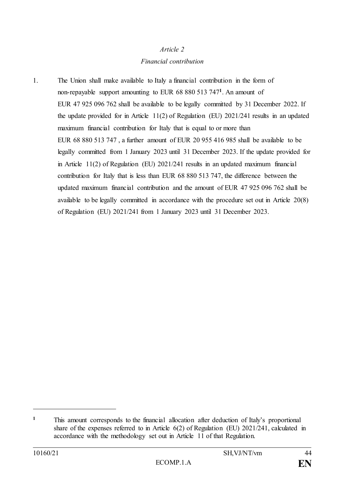## *Article 2*

## *Financial contribution*

1. The Union shall make available to Italy a financial contribution in the form of non-repayable support amounting to EUR 68 880 513 747**<sup>1</sup>** . An amount of EUR 47 925 096 762 shall be available to be legally committed by 31 December 2022. If the update provided for in Article 11(2) of Regulation (EU) 2021/241 results in an updated maximum financial contribution for Italy that is equal to or more than EUR 68 880 513 747 , a further amount of EUR 20 955 416 985 shall be available to be legally committed from 1 January 2023 until 31 December 2023. If the update provided for in Article 11(2) of Regulation (EU) 2021/241 results in an updated maximum financial contribution for Italy that is less than EUR 68 880 513 747, the difference between the updated maximum financial contribution and the amount of EUR 47 925 096 762 shall be available to be legally committed in accordance with the procedure set out in Article 20(8) of Regulation (EU) 2021/241 from 1 January 2023 until 31 December 2023.

**<sup>1</sup>** This amount corresponds to the financial allocation after deduction of Italy's proportional share of the expenses referred to in Article 6(2) of Regulation (EU) 2021/241, calculated in accordance with the methodology set out in Article 11 of that Regulation.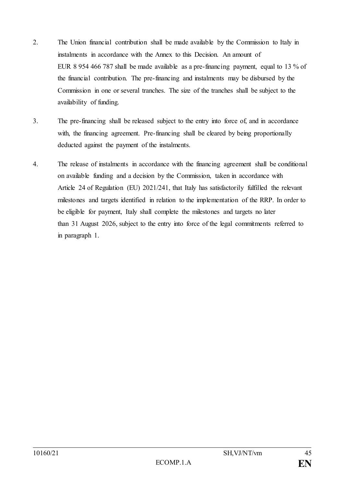- 2. The Union financial contribution shall be made available by the Commission to Italy in instalments in accordance with the Annex to this Decision. An amount of EUR 8 954 466 787 shall be made available as a pre-financing payment, equal to 13 % of the financial contribution. The pre-financing and instalments may be disbursed by the Commission in one or several tranches. The size of the tranches shall be subject to the availability of funding.
- 3. The pre-financing shall be released subject to the entry into force of, and in accordance with, the financing agreement. Pre-financing shall be cleared by being proportionally deducted against the payment of the instalments.
- 4. The release of instalments in accordance with the financing agreement shall be conditional on available funding and a decision by the Commission, taken in accordance with Article 24 of Regulation (EU) 2021/241, that Italy has satisfactorily fulfilled the relevant milestones and targets identified in relation to the implementation of the RRP. In order to be eligible for payment, Italy shall complete the milestones and targets no later than 31 August 2026, subject to the entry into force of the legal commitments referred to in paragraph 1.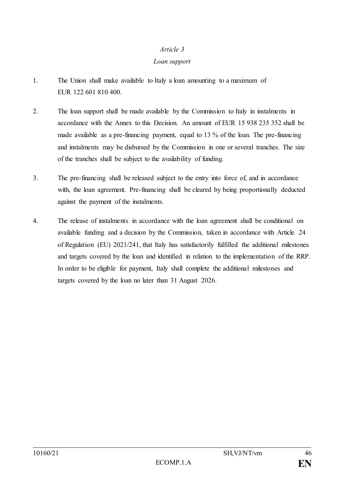### *Article 3*

#### *Loan support*

- 1. The Union shall make available to Italy a loan amounting to a maximum of EUR 122 601 810 400.
- 2. The loan support shall be made available by the Commission to Italy in instalments in accordance with the Annex to this Decision. An amount of EUR 15 938 235 352 shall be made available as a pre-financing payment, equal to 13 % of the loan. The pre-financing and instalments may be disbursed by the Commission in one or several tranches. The size of the tranches shall be subject to the availability of funding.
- 3. The pre-financing shall be released subject to the entry into force of, and in accordance with, the loan agreement. Pre-financing shall be cleared by being proportionally deducted against the payment of the instalments*.*
- 4. The release of instalments in accordance with the loan agreement shall be conditional on available funding and a decision by the Commission, taken in accordance with Article 24 of Regulation (EU) 2021/241, that Italy has satisfactorily fulfilled the additional milestones and targets covered by the loan and identified in relation to the implementation of the RRP. In order to be eligible for payment, Italy shall complete the additional milestones and targets covered by the loan no later than 31 August 2026.